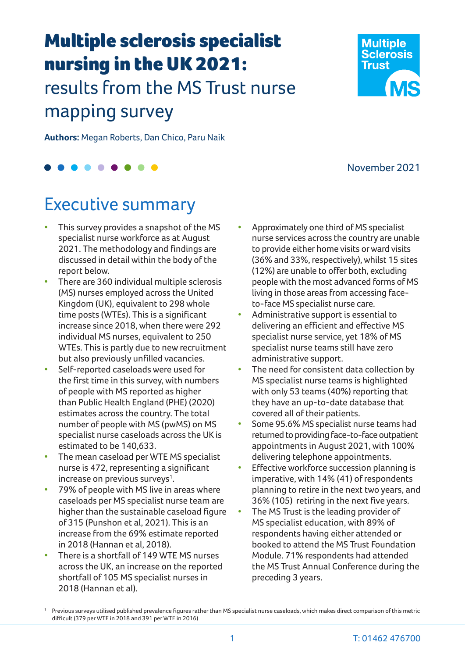# Multiple sclerosis specialist nursing in the UK 2021:

# results from the MS Trust nurse mapping survey

**Authors:** Megan Roberts, Dan Chico, Paru Naik

# Executive summary

- This survey provides a snapshot of the MS specialist nurse workforce as at August 2021. The methodology and findings are discussed in detail within the body of the report below.
- There are 360 individual multiple sclerosis (MS) nurses employed across the United Kingdom (UK), equivalent to 298 whole time posts (WTEs). This is a significant increase since 2018, when there were 292 individual MS nurses, equivalent to 250 WTEs. This is partly due to new recruitment but also previously unfilled vacancies.
- Self-reported caseloads were used for the first time in this survey, with numbers of people with MS reported as higher than Public Health England (PHE) (2020) estimates across the country. The total number of people with MS (pwMS) on MS specialist nurse caseloads across the UK is estimated to be 140,633.
- The mean caseload per WTE MS specialist nurse is 472, representing a significant increase on previous surveys $^1$ .
- 79% of people with MS live in areas where caseloads per MS specialist nurse team are higher than the sustainable caseload figure of 315 (Punshon et al, 2021). This is an increase from the 69% estimate reported in 2018 (Hannan et al, 2018).
- There is a shortfall of 149 WTE MS nurses across the UK, an increase on the reported shortfall of 105 MS specialist nurses in 2018 (Hannan et al).
- Approximately one third of MS specialist nurse services across the country are unable to provide either home visits or ward visits (36% and 33%, respectively), whilst 15 sites (12%) are unable to offer both, excluding people with the most advanced forms of MS living in those areas from accessing faceto-face MS specialist nurse care.
- Administrative support is essential to delivering an efficient and effective MS specialist nurse service, yet 18% of MS specialist nurse teams still have zero administrative support.
- The need for consistent data collection by MS specialist nurse teams is highlighted with only 53 teams (40%) reporting that they have an up-to-date database that covered all of their patients.
- Some 95.6% MS specialist nurse teams had returned to providing face-to-face outpatient appointments in August 2021, with 100% delivering telephone appointments.
- Effective workforce succession planning is imperative, with 14% (41) of respondents planning to retire in the next two years, and 36% (105) retiring in the next five years.
- The MS Trust is the leading provider of MS specialist education, with 89% of respondents having either attended or booked to attend the MS Trust Foundation Module. 71% respondents had attended the MS Trust Annual Conference during the preceding 3 years.



**Multiple Sclerosis Trust** 

<sup>1</sup> Previous surveys utilised published prevalence figures rather than MS specialist nurse caseloads, which makes direct comparison of this metric difficult (379 per WTE in 2018 and 391 per WTE in 2016)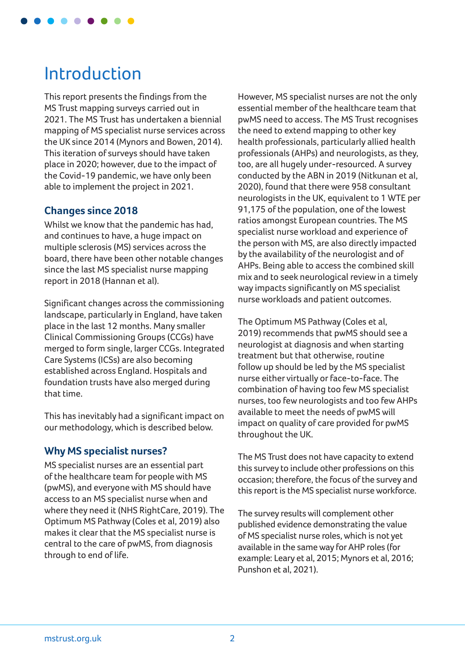

# Introduction

This report presents the findings from the MS Trust mapping surveys carried out in 2021. The MS Trust has undertaken a biennial mapping of MS specialist nurse services across the UK since 2014 (Mynors and Bowen, 2014). This iteration of surveys should have taken place in 2020; however, due to the impact of the Covid-19 pandemic, we have only been able to implement the project in 2021.

#### **Changes since 2018**

Whilst we know that the pandemic has had, and continues to have, a huge impact on multiple sclerosis (MS) services across the board, there have been other notable changes since the last MS specialist nurse mapping report in 2018 (Hannan et al).

Significant changes across the commissioning landscape, particularly in England, have taken place in the last 12 months. Many smaller Clinical Commissioning Groups (CCGs) have merged to form single, larger CCGs. Integrated Care Systems (ICSs) are also becoming established across England. Hospitals and foundation trusts have also merged during that time.

This has inevitably had a significant impact on our methodology, which is described below.

### **Why MS specialist nurses?**

MS specialist nurses are an essential part of the healthcare team for people with MS (pwMS), and everyone with MS should have access to an MS specialist nurse when and where they need it (NHS RightCare, 2019). The Optimum MS Pathway (Coles et al, 2019) also makes it clear that the MS specialist nurse is central to the care of pwMS, from diagnosis through to end of life.

However, MS specialist nurses are not the only essential member of the healthcare team that pwMS need to access. The MS Trust recognises the need to extend mapping to other key health professionals, particularly allied health professionals (AHPs) and neurologists, as they, too, are all hugely under-resourced. A survey conducted by the ABN in 2019 (Nitkunan et al, 2020), found that there were 958 consultant neurologists in the UK, equivalent to 1 WTE per 91,175 of the population, one of the lowest ratios amongst European countries. The MS specialist nurse workload and experience of the person with MS, are also directly impacted by the availability of the neurologist and of AHPs. Being able to access the combined skill mix and to seek neurological review in a timely way impacts significantly on MS specialist nurse workloads and patient outcomes.

The Optimum MS Pathway (Coles et al, 2019) recommends that pwMS should see a neurologist at diagnosis and when starting treatment but that otherwise, routine follow up should be led by the MS specialist nurse either virtually or face-to-face. The combination of having too few MS specialist nurses, too few neurologists and too few AHPs available to meet the needs of pwMS will impact on quality of care provided for pwMS throughout the UK.

The MS Trust does not have capacity to extend this survey to include other professions on this occasion; therefore, the focus of the survey and this report is the MS specialist nurse workforce.

The survey results will complement other published evidence demonstrating the value of MS specialist nurse roles, which is not yet available in the same way for AHP roles (for example: Leary et al, 2015; Mynors et al, 2016; Punshon et al, 2021).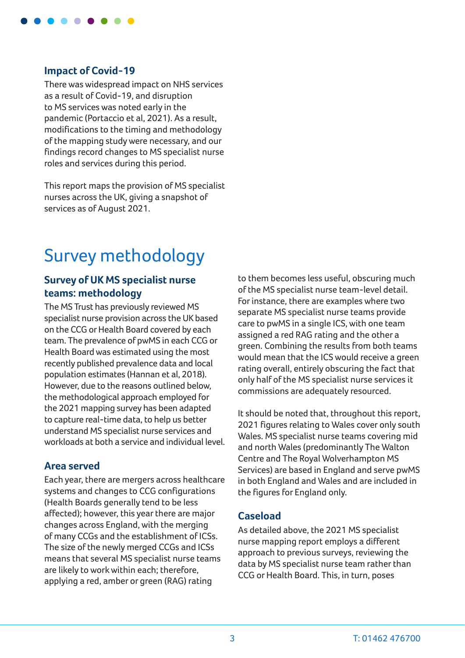

#### **Impact of Covid-19**

There was widespread impact on NHS services as a result of Covid-19, and disruption to MS services was noted early in the pandemic (Portaccio et al, 2021). As a result, modifications to the timing and methodology of the mapping study were necessary, and our findings record changes to MS specialist nurse roles and services during this period.

This report maps the provision of MS specialist nurses across the UK, giving a snapshot of services as of August 2021.

# Survey methodology

#### **Survey of UK MS specialist nurse teams: methodology**

The MS Trust has previously reviewed MS specialist nurse provision across the UK based on the CCG or Health Board covered by each team. The prevalence of pwMS in each CCG or Health Board was estimated using the most recently published prevalence data and local population estimates (Hannan et al, 2018). However, due to the reasons outlined below, the methodological approach employed for the 2021 mapping survey has been adapted to capture real-time data, to help us better understand MS specialist nurse services and workloads at both a service and individual level.

#### **Area served**

Each year, there are mergers across healthcare systems and changes to CCG configurations (Health Boards generally tend to be less affected); however, this year there are major changes across England, with the merging of many CCGs and the establishment of ICSs. The size of the newly merged CCGs and ICSs means that several MS specialist nurse teams are likely to work within each; therefore, applying a red, amber or green (RAG) rating

to them becomes less useful, obscuring much of the MS specialist nurse team-level detail. For instance, there are examples where two separate MS specialist nurse teams provide care to pwMS in a single ICS, with one team assigned a red RAG rating and the other a green. Combining the results from both teams would mean that the ICS would receive a green rating overall, entirely obscuring the fact that only half of the MS specialist nurse services it commissions are adequately resourced.

It should be noted that, throughout this report, 2021 figures relating to Wales cover only south Wales. MS specialist nurse teams covering mid and north Wales (predominantly The Walton Centre and The Royal Wolverhampton MS Services) are based in England and serve pwMS in both England and Wales and are included in the figures for England only.

#### **Caseload**

As detailed above, the 2021 MS specialist nurse mapping report employs a different approach to previous surveys, reviewing the data by MS specialist nurse team rather than CCG or Health Board. This, in turn, poses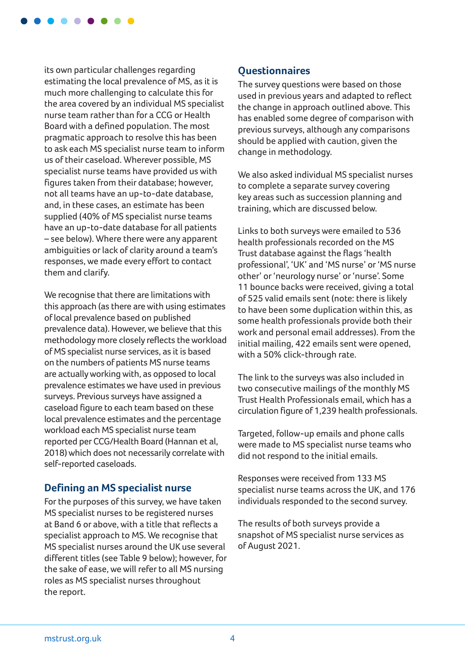

its own particular challenges regarding estimating the local prevalence of MS, as it is much more challenging to calculate this for the area covered by an individual MS specialist nurse team rather than for a CCG or Health Board with a defined population. The most pragmatic approach to resolve this has been to ask each MS specialist nurse team to inform us of their caseload. Wherever possible, MS specialist nurse teams have provided us with figures taken from their database; however, not all teams have an up-to-date database, and, in these cases, an estimate has been supplied (40% of MS specialist nurse teams have an up-to-date database for all patients – see below). Where there were any apparent ambiguities or lack of clarity around a team's responses, we made every effort to contact them and clarify.

We recognise that there are limitations with this approach (as there are with using estimates of local prevalence based on published prevalence data). However, we believe that this methodology more closely reflects the workload of MS specialist nurse services, as it is based on the numbers of patients MS nurse teams are actually working with, as opposed to local prevalence estimates we have used in previous surveys. Previous surveys have assigned a caseload figure to each team based on these local prevalence estimates and the percentage workload each MS specialist nurse team reported per CCG/Health Board (Hannan et al, 2018) which does not necessarily correlate with self-reported caseloads.

#### **Defining an MS specialist nurse**

For the purposes of this survey, we have taken MS specialist nurses to be registered nurses at Band 6 or above, with a title that reflects a specialist approach to MS. We recognise that MS specialist nurses around the UK use several different titles (see Table 9 below); however, for the sake of ease, we will refer to all MS nursing roles as MS specialist nurses throughout the report.

### **Questionnaires**

The survey questions were based on those used in previous years and adapted to reflect the change in approach outlined above. This has enabled some degree of comparison with previous surveys, although any comparisons should be applied with caution, given the change in methodology.

We also asked individual MS specialist nurses to complete a separate survey covering key areas such as succession planning and training, which are discussed below.

Links to both surveys were emailed to 536 health professionals recorded on the MS Trust database against the flags 'health professional', 'UK' and 'MS nurse' or 'MS nurse other' or 'neurology nurse' or 'nurse'. Some 11 bounce backs were received, giving a total of 525 valid emails sent (note: there is likely to have been some duplication within this, as some health professionals provide both their work and personal email addresses). From the initial mailing, 422 emails sent were opened, with a 50% click-through rate.

The link to the surveys was also included in two consecutive mailings of the monthly MS Trust Health Professionals email, which has a circulation figure of 1,239 health professionals.

Targeted, follow-up emails and phone calls were made to MS specialist nurse teams who did not respond to the initial emails.

Responses were received from 133 MS specialist nurse teams across the UK, and 176 individuals responded to the second survey.

The results of both surveys provide a snapshot of MS specialist nurse services as of August 2021.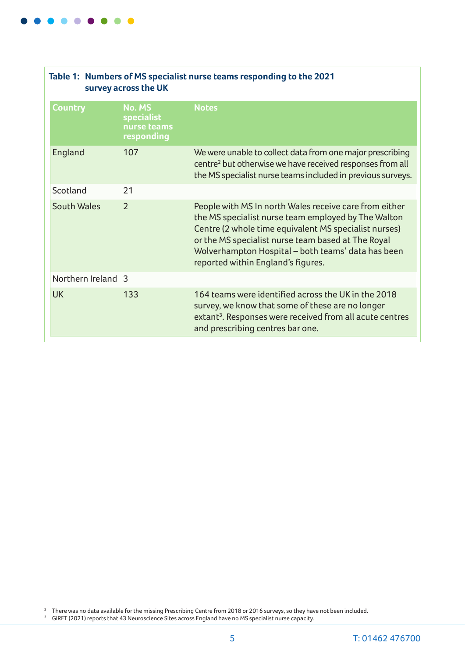

| Table 1: Numbers of MS specialist nurse teams responding to the 2021<br>survey across the UK |                                                          |                                                                                                                                                                                                                                                                                                                          |  |  |  |
|----------------------------------------------------------------------------------------------|----------------------------------------------------------|--------------------------------------------------------------------------------------------------------------------------------------------------------------------------------------------------------------------------------------------------------------------------------------------------------------------------|--|--|--|
| Country                                                                                      | No. MS<br><b>specialist</b><br>nurse teams<br>responding | <b>Notes</b>                                                                                                                                                                                                                                                                                                             |  |  |  |
| England                                                                                      | 107                                                      | We were unable to collect data from one major prescribing<br>centre <sup>2</sup> but otherwise we have received responses from all<br>the MS specialist nurse teams included in previous surveys.                                                                                                                        |  |  |  |
| Scotland                                                                                     | 21                                                       |                                                                                                                                                                                                                                                                                                                          |  |  |  |
| <b>South Wales</b>                                                                           | $\overline{2}$                                           | People with MS In north Wales receive care from either<br>the MS specialist nurse team employed by The Walton<br>Centre (2 whole time equivalent MS specialist nurses)<br>or the MS specialist nurse team based at The Royal<br>Wolverhampton Hospital - both teams' data has been<br>reported within England's figures. |  |  |  |
| Northern Ireland 3                                                                           |                                                          |                                                                                                                                                                                                                                                                                                                          |  |  |  |
| <b>UK</b>                                                                                    | 133                                                      | 164 teams were identified across the UK in the 2018<br>survey, we know that some of these are no longer<br>extant <sup>3</sup> . Responses were received from all acute centres<br>and prescribing centres bar one.                                                                                                      |  |  |  |

 $^{\rm 2}~\,$  There was no data available for the missing Prescribing Centre from 2018 or 2016 surveys, so they have not been included.

 $^{\rm 3}$   $\,$  GIRFT (2021) reports that 43 Neuroscience Sites across England have no MS specialist nurse capacity.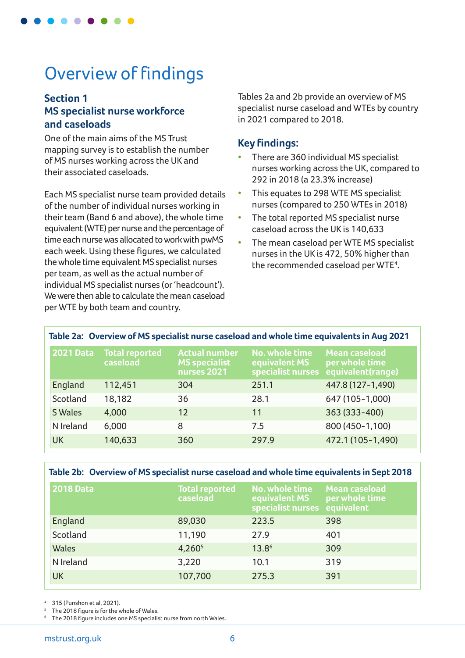

# Overview of findings

### **Section 1 MS specialist nurse workforce and caseloads**

One of the main aims of the MS Trust mapping survey is to establish the number of MS nurses working across the UK and their associated caseloads.

Each MS specialist nurse team provided details of the number of individual nurses working in their team (Band 6 and above), the whole time equivalent (WTE) per nurse and the percentage of time each nurse was allocated to work with pwMS each week. Using these figures, we calculated the whole time equivalent MS specialist nurses per team, as well as the actual number of individual MS specialist nurses (or 'headcount'). We were then able to calculate the mean caseload per WTE by both team and country.

Tables 2a and 2b provide an overview of MS specialist nurse caseload and WTEs by country in 2021 compared to 2018.

#### **Key findings:**

- There are 360 individual MS specialist nurses working across the UK, compared to 292 in 2018 (a 23.3% increase)
- This equates to 298 WTE MS specialist nurses (compared to 250 WTEs in 2018)
- The total reported MS specialist nurse caseload across the UK is 140,633
- The mean caseload per WTE MS specialist nurses in the UK is 472, 50% higher than the recommended caseload per WTE<sup>4</sup>.

| Table 2a: Overview of MS specialist nurse caseload and whole time equivalents in Aug 2021 |                            |                                                             |                                                      |                                                             |  |
|-------------------------------------------------------------------------------------------|----------------------------|-------------------------------------------------------------|------------------------------------------------------|-------------------------------------------------------------|--|
| <b>2021 Data</b>                                                                          | Total reported<br>caseload | <b>Actual number</b><br><b>MS specialist</b><br>nurses 2021 | No. whole time<br>equivalent MS<br>specialist nurses | <b>Mean caseload</b><br>per whole time<br>equivalent(range) |  |
| England                                                                                   | 112,451                    | 304                                                         | 251.1                                                | 447.8 (127-1,490)                                           |  |
| Scotland                                                                                  | 18,182                     | 36                                                          | 28.1                                                 | 647 (105-1,000)                                             |  |
| S Wales                                                                                   | 4,000                      | 12                                                          | 11                                                   | 363 (333-400)                                               |  |
| N Ireland                                                                                 | 6,000                      | 8                                                           | 7.5                                                  | 800 (450-1,100)                                             |  |
| <b>UK</b>                                                                                 | 140,633                    | 360                                                         | 297.9                                                | 472.1 (105-1,490)                                           |  |

#### **Table 2b: Overview of MS specialist nurse caseload and whole time equivalents in Sept 2018**

| <b>2018 Data</b> | <b>Total reported</b><br>caseload | No. whole time<br>equivalent MS<br>specialist nurses equivalent | <b>Mean caseload</b><br>per whole time |
|------------------|-----------------------------------|-----------------------------------------------------------------|----------------------------------------|
| England          | 89,030                            | 223.5                                                           | 398                                    |
| Scotland         | 11,190                            | 27.9                                                            | 401                                    |
| Wales            | 4,260 <sup>5</sup>                | $13.8^{6}$                                                      | 309                                    |
| N Ireland        | 3,220                             | 10.1                                                            | 319                                    |
| <b>UK</b>        | 107,700                           | 275.3                                                           | 391                                    |

<sup>4</sup> 315 (Punshon et al, 2021).

The 2018 figure is for the whole of Wales.

The 2018 figure includes one MS specialist nurse from north Wales.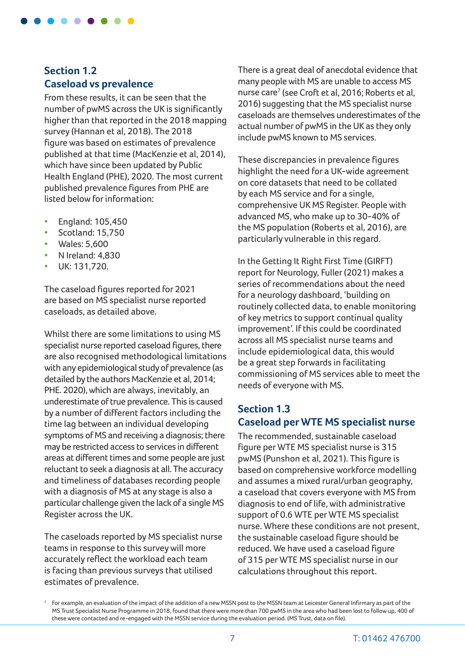

# **Section 1.2 Caseload vs prevalence**

From these results, it can be seen that the number of pwMS across the UK is significantly higher than that reported in the 2018 mapping survey (Hannan et al, 2018). The 2018 figure was based on estimates of prevalence published at that time (MacKenzie et al, 2014), which have since been updated by Public Health England (PHE), 2020. The most current published prevalence figures from PHE are listed below for information:

- England: 105,450
- Scotland: 15,750
- Wales: 5,600
- N Ireland: 4,830
- UK: 131,720.

The caseload figures reported for 2021 are based on MS specialist nurse reported caseloads, as detailed above.

Whilst there are some limitations to using MS specialist nurse reported caseload figures, there are also recognised methodological limitations with any epidemiological study of prevalence (as detailed by the authors MacKenzie et al, 2014; PHE. 2020), which are always, inevitably, an underestimate of true prevalence. This is caused by a number of different factors including the time lag between an individual developing symptoms of MS and receiving a diagnosis; there may be restricted access to services in different areas at different times and some people are just reluctant to seek a diagnosis at all. The accuracy and timeliness of databases recording people with a diagnosis of MS at any stage is also a particular challenge given the lack of a single MS Register across the UK.

The caseloads reported by MS specialist nurse teams in response to this survey will more accurately reflect the workload each team is facing than previous surveys that utilised estimates of prevalence.

There is a great deal of anecdotal evidence that many people with MS are unable to access MS nurse care<sup>7</sup> (see Croft et al, 2016; Roberts et al, 2016) suggesting that the MS specialist nurse caseloads are themselves underestimates of the actual number of pwMS in the UK as they only include pwMS known to MS services.

These discrepancies in prevalence figures highlight the need for a UK-wide agreement on core datasets that need to be collated by each MS service and for a single, comprehensive UK MS Register. People with advanced MS, who make up to 30-40% of the MS population (Roberts et al, 2016), are particularly vulnerable in this regard.

In the Getting It Right First Time (GIRFT) report for Neurology, Fuller (2021) makes a series of recommendations about the need for a neurology dashboard, 'building on routinely collected data, to enable monitoring of key metrics to support continual quality improvement'. If this could be coordinated across all MS specialist nurse teams and include epidemiological data, this would be a great step forwards in facilitating commissioning of MS services able to meet the needs of everyone with MS.

#### **Section 1.3 Caseload per WTE MS specialist nurse**

The recommended, sustainable caseload figure per WTE MS specialist nurse is 315 pwMS (Punshon et al, 2021). This figure is based on comprehensive workforce modelling and assumes a mixed rural/urban geography, a caseload that covers everyone with MS from diagnosis to end of life, with administrative support of 0.6 WTE per WTE MS specialist nurse. Where these conditions are not present, the sustainable caseload figure should be reduced. We have used a caseload figure of 315 per WTE MS specialist nurse in our calculations throughout this report.

<sup>7</sup> For example, an evaluation of the impact of the addition of a new MSSN post to the MSSN team at Leicester General Infirmary as part of the MS Trust Specialist Nurse Programme in 2018, found that there were more than 700 pwMS in the area who had been lost to follow up, 400 of these were contacted and re-engaged with the MSSN service during the evaluation period. (MS Trust, data on file).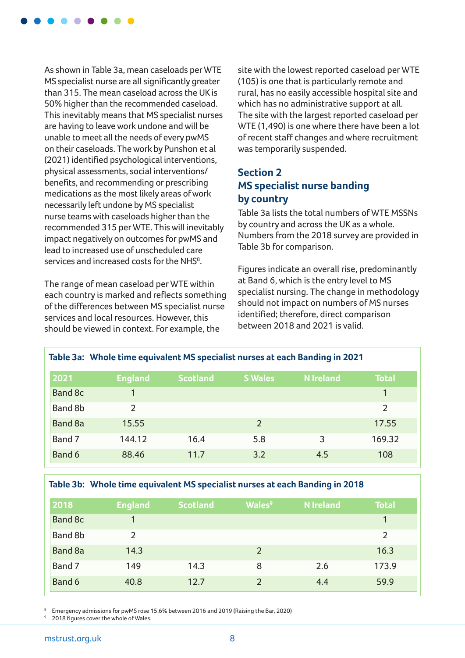

As shown in Table 3a, mean caseloads per WTE MS specialist nurse are all significantly greater than 315. The mean caseload across the UK is 50% higher than the recommended caseload. This inevitably means that MS specialist nurses are having to leave work undone and will be unable to meet all the needs of every pwMS on their caseloads. The work by Punshon et al (2021) identified psychological interventions, physical assessments, social interventions/ benefits, and recommending or prescribing medications as the most likely areas of work necessarily left undone by MS specialist nurse teams with caseloads higher than the recommended 315 per WTE. This will inevitably impact negatively on outcomes for pwMS and lead to increased use of unscheduled care services and increased costs for the NHS<sup>8</sup>.

The range of mean caseload per WTE within each country is marked and reflects something of the differences between MS specialist nurse services and local resources. However, this should be viewed in context. For example, the

site with the lowest reported caseload per WTE (105) is one that is particularly remote and rural, has no easily accessible hospital site and which has no administrative support at all. The site with the largest reported caseload per WTE (1,490) is one where there have been a lot of recent staff changes and where recruitment was temporarily suspended.

# **Section 2 MS specialist nurse banding by country**

Table 3a lists the total numbers of WTE MSSNs by country and across the UK as a whole. Numbers from the 2018 survey are provided in Table 3b for comparison.

Figures indicate an overall rise, predominantly at Band 6, which is the entry level to MS specialist nursing. The change in methodology should not impact on numbers of MS nurses identified; therefore, direct comparison between 2018 and 2021 is valid.

|         | Table 3a: Whole time equivalent MS specialist nurses at each Banding in 2021 |                 |                |                  |                |  |  |
|---------|------------------------------------------------------------------------------|-----------------|----------------|------------------|----------------|--|--|
| 2021    | <b>England</b>                                                               | <b>Scotland</b> | <b>S</b> Wales | <b>N</b> Ireland | <b>Total</b>   |  |  |
| Band 8c |                                                                              |                 |                |                  |                |  |  |
| Band 8b | 2                                                                            |                 |                |                  | $\overline{2}$ |  |  |
| Band 8a | 15.55                                                                        |                 | 2              |                  | 17.55          |  |  |
| Band 7  | 144.12                                                                       | 16.4            | 5.8            | 3                | 169.32         |  |  |
| Band 6  | 88.46                                                                        | 11.7            | 3.2            | 4.5              | 108            |  |  |

#### **Table 3b: Whole time equivalent MS specialist nurses at each Banding in 2018**

| 2018    | <b>England</b> | <b>Scotland</b> | <b>Wales<sup>9</sup></b> | <b>N</b> Ireland | <b>Total</b> |
|---------|----------------|-----------------|--------------------------|------------------|--------------|
| Band 8c |                |                 |                          |                  | $\mathbf{1}$ |
| Band 8b | $\mathcal{P}$  |                 |                          |                  | 2            |
| Band 8a | 14.3           |                 | $\overline{2}$           |                  | 16.3         |
| Band 7  | 149            | 14.3            | 8                        | 2.6              | 173.9        |
| Band 6  | 40.8           | 12.7            | $\overline{2}$           | 4.4              | 59.9         |

<sup>8</sup> Emergency admissions for pwMS rose 15.6% between 2016 and 2019 (Raising the Bar, 2020)

2018 figures cover the whole of Wales.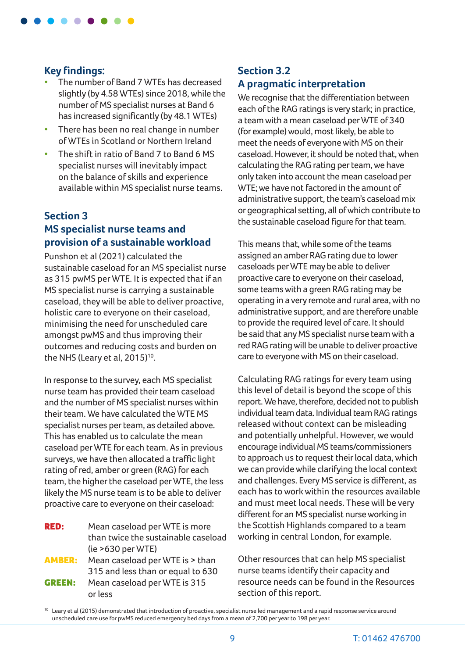

#### **Key findings:**

- The number of Band 7 WTEs has decreased slightly (by 4.58 WTEs) since 2018, while the number of MS specialist nurses at Band 6 has increased significantly (by 48.1 WTEs)
- There has been no real change in number of WTEs in Scotland or Northern Ireland
- The shift in ratio of Band 7 to Band 6 MS specialist nurses will inevitably impact on the balance of skills and experience available within MS specialist nurse teams.

### **Section 3 MS specialist nurse teams and provision of a sustainable workload**

Punshon et al (2021) calculated the sustainable caseload for an MS specialist nurse as 315 pwMS per WTE. It is expected that if an MS specialist nurse is carrying a sustainable caseload, they will be able to deliver proactive, holistic care to everyone on their caseload, minimising the need for unscheduled care amongst pwMS and thus improving their outcomes and reducing costs and burden on the NHS (Leary et al,  $2015$ )<sup>10</sup>.

In response to the survey, each MS specialist nurse team has provided their team caseload and the number of MS specialist nurses within their team. We have calculated the WTE MS specialist nurses per team, as detailed above. This has enabled us to calculate the mean caseload per WTE for each team. As in previous surveys, we have then allocated a traffic light rating of red, amber or green (RAG) for each team, the higher the caseload per WTE, the less likely the MS nurse team is to be able to deliver proactive care to everyone on their caseload:

**RED:** Mean caseload per WTE is more than twice the sustainable caseload (ie >630 per WTE) AMBER: Mean caseload per WTE is > than 315 and less than or equal to 630 **GREEN:** Mean caseload per WTE is 315 or less

# **Section 3.2 A pragmatic interpretation**

We recognise that the differentiation between each of the RAG ratings is very stark; in practice, a team with a mean caseload per WTE of 340 (for example) would, most likely, be able to meet the needs of everyone with MS on their caseload. However, it should be noted that, when calculating the RAG rating per team, we have only taken into account the mean caseload per WTE; we have not factored in the amount of administrative support, the team's caseload mix or geographical setting, all of which contribute to the sustainable caseload figure for that team.

This means that, while some of the teams assigned an amber RAG rating due to lower caseloads per WTE may be able to deliver proactive care to everyone on their caseload, some teams with a green RAG rating may be operating in a very remote and rural area, with no administrative support, and are therefore unable to provide the required level of care. It should be said that any MS specialist nurse team with a red RAG rating will be unable to deliver proactive care to everyone with MS on their caseload.

Calculating RAG ratings for every team using this level of detail is beyond the scope of this report. We have, therefore, decided not to publish individual team data. Individual team RAG ratings released without context can be misleading and potentially unhelpful. However, we would encourage individual MS teams/commissioners to approach us to request their local data, which we can provide while clarifying the local context and challenges. Every MS service is different, as each has to work within the resources available and must meet local needs. These will be very different for an MS specialist nurse working in the Scottish Highlands compared to a team working in central London, for example.

Other resources that can help MS specialist nurse teams identify their capacity and resource needs can be found in the Resources section of this report.

<sup>&</sup>lt;sup>10</sup> Leary et al (2015) demonstrated that introduction of proactive, specialist nurse led management and a rapid response service around unscheduled care use for pwMS reduced emergency bed days from a mean of 2,700 per year to 198 per year.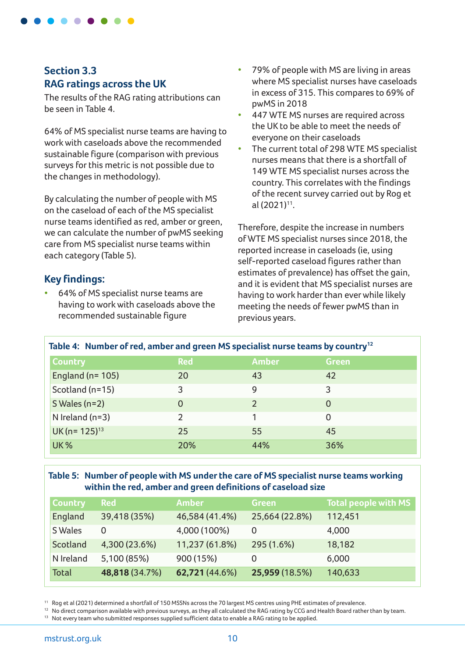

### **Section 3.3 RAG ratings across the UK**

The results of the RAG rating attributions can be seen in Table 4.

64% of MS specialist nurse teams are having to work with caseloads above the recommended sustainable figure (comparison with previous surveys for this metric is not possible due to the changes in methodology).

By calculating the number of people with MS on the caseload of each of the MS specialist nurse teams identified as red, amber or green, we can calculate the number of pwMS seeking care from MS specialist nurse teams within each category (Table 5).

### **Key findings:**

• 64% of MS specialist nurse teams are having to work with caseloads above the recommended sustainable figure

- 79% of people with MS are living in areas where MS specialist nurses have caseloads in excess of 315. This compares to 69% of pwMS in 2018
- 447 WTE MS nurses are required across the UK to be able to meet the needs of everyone on their caseloads
- The current total of 298 WTE MS specialist nurses means that there is a shortfall of 149 WTE MS specialist nurses across the country. This correlates with the findings of the recent survey carried out by Rog et al  $(2021)^{11}$ .

Therefore, despite the increase in numbers of WTE MS specialist nurses since 2018, the reported increase in caseloads (ie, using self-reported caseload figures rather than estimates of prevalence) has offset the gain, and it is evident that MS specialist nurses are having to work harder than ever while likely meeting the needs of fewer pwMS than in previous years.

| Table 4: Number of red, amber and green MS specialist nurse teams by country <sup>12</sup> |               |              |  |  |  |  |
|--------------------------------------------------------------------------------------------|---------------|--------------|--|--|--|--|
| <b>Red</b>                                                                                 | <b>Amber</b>  | <b>Green</b> |  |  |  |  |
| 20                                                                                         | 43            | 42           |  |  |  |  |
| 3                                                                                          | 9             | 3            |  |  |  |  |
| 0                                                                                          | $\mathcal{P}$ | 0            |  |  |  |  |
| っ                                                                                          |               | 0            |  |  |  |  |
| 25                                                                                         | 55            | 45           |  |  |  |  |
| 20%                                                                                        | 44%           | 36%          |  |  |  |  |
|                                                                                            |               |              |  |  |  |  |

#### **Table 5: Number of people with MS under the care of MS specialist nurse teams working within the red, amber and green definitions of caseload size**

| <b>Country</b> | <b>Red</b>     | <b>Amber</b>   | <b>Green</b>   | <b>Total people with MS</b> |
|----------------|----------------|----------------|----------------|-----------------------------|
| England        | 39,418 (35%)   | 46,584 (41.4%) | 25,664 (22.8%) | 112,451                     |
| S Wales        | 0              | 4,000 (100%)   | 0              | 4,000                       |
| Scotland       | 4,300 (23.6%)  | 11,237 (61.8%) | 295 (1.6%)     | 18,182                      |
| N Ireland      | 5,100 (85%)    | 900 (15%)      | 0              | 6,000                       |
| Total          | 48,818 (34.7%) | 62,721 (44.6%) | 25,959 (18.5%) | 140,633                     |

11 Rog et al (2021) determined a shortfall of 150 MSSNs across the 70 largest MS centres using PHE estimates of prevalence.

<sup>12</sup> No direct comparison available with previous surveys, as they all calculated the RAG rating by CCG and Health Board rather than by team.

<sup>13</sup> Not every team who submitted responses supplied sufficient data to enable a RAG rating to be applied.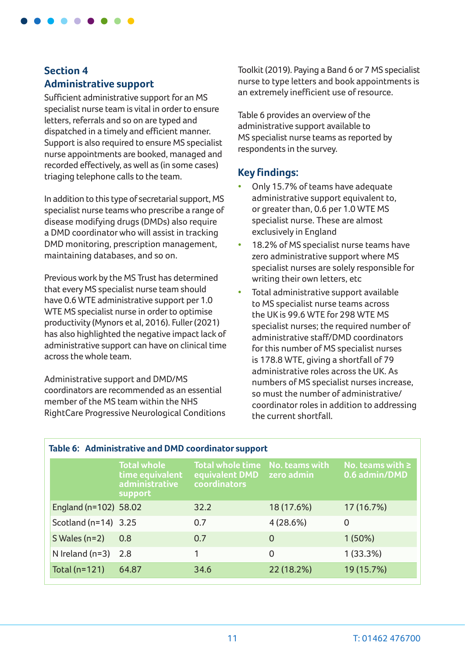

# **Section 4 Administrative support**

Sufficient administrative support for an MS specialist nurse team is vital in order to ensure letters, referrals and so on are typed and dispatched in a timely and efficient manner. Support is also required to ensure MS specialist nurse appointments are booked, managed and recorded effectively, as well as (in some cases) triaging telephone calls to the team.

In addition to this type of secretarial support, MS specialist nurse teams who prescribe a range of disease modifying drugs (DMDs) also require a DMD coordinator who will assist in tracking DMD monitoring, prescription management, maintaining databases, and so on.

Previous work by the MS Trust has determined that every MS specialist nurse team should have 0.6 WTE administrative support per 1.0 WTE MS specialist nurse in order to optimise productivity (Mynors et al, 2016). Fuller (2021) has also highlighted the negative impact lack of administrative support can have on clinical time across the whole team.

Administrative support and DMD/MS coordinators are recommended as an essential member of the MS team within the NHS RightCare Progressive Neurological Conditions Toolkit (2019). Paying a Band 6 or 7 MS specialist nurse to type letters and book appointments is an extremely inefficient use of resource.

Table 6 provides an overview of the administrative support available to MS specialist nurse teams as reported by respondents in the survey.

### **Key findings:**

- Only 15.7% of teams have adequate administrative support equivalent to, or greater than, 0.6 per 1.0 WTE MS specialist nurse. These are almost exclusively in England
- 18.2% of MS specialist nurse teams have zero administrative support where MS specialist nurses are solely responsible for writing their own letters, etc
- Total administrative support available to MS specialist nurse teams across the UK is 99.6 WTE for 298 WTE MS specialist nurses; the required number of administrative staff/DMD coordinators for this number of MS specialist nurses is 178.8 WTE, giving a shortfall of 79 administrative roles across the UK. As numbers of MS specialist nurses increase, so must the number of administrative/ coordinator roles in addition to addressing the current shortfall.

| Table 6: Administrative and DMD coordinator support |                                                                    |                                                           |                              |                                        |  |  |  |
|-----------------------------------------------------|--------------------------------------------------------------------|-----------------------------------------------------------|------------------------------|----------------------------------------|--|--|--|
|                                                     | <b>Total whole</b><br>time equivalent<br>administrative<br>support | <b>Total whole time</b><br>equivalent DMD<br>coordinators | No. teams with<br>zero admin | No. teams with $\geq$<br>0.6 admin/DMD |  |  |  |
| England (n=102) 58.02                               |                                                                    | 32.2                                                      | 18 (17.6%)                   | 17(16.7%)                              |  |  |  |
| Scotland (n=14) 3.25                                |                                                                    | 0.7                                                       | 4(28.6%)                     | 0                                      |  |  |  |
| $S$ Wales (n=2)                                     | 0.8                                                                | 0.7                                                       | 0                            | 1(50%)                                 |  |  |  |
| N Ireland $(n=3)$                                   | 2.8                                                                | 1                                                         | 0                            | 1(33.3%)                               |  |  |  |
| Total (n=121)                                       | 64.87                                                              | 34.6                                                      | 22 (18.2%)                   | 19 (15.7%)                             |  |  |  |

#### 11 T: 01462 476700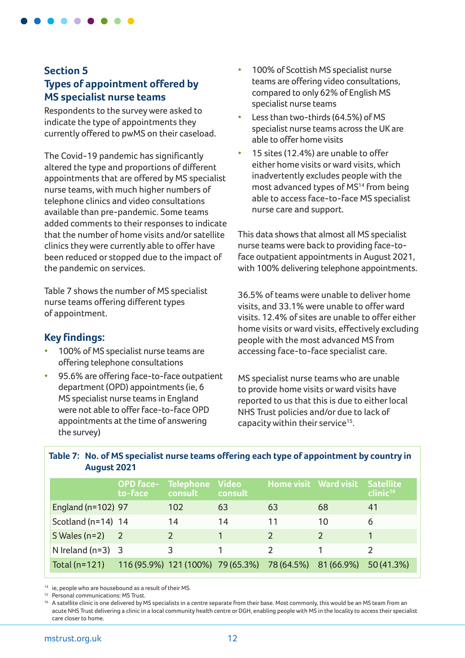

# **Section 5 Types of appointment offered by MS specialist nurse teams**

Respondents to the survey were asked to indicate the type of appointments they currently offered to pwMS on their caseload.

The Covid-19 pandemic has significantly altered the type and proportions of different appointments that are offered by MS specialist nurse teams, with much higher numbers of telephone clinics and video consultations available than pre-pandemic. Some teams added comments to their responses to indicate that the number of home visits and/or satellite clinics they were currently able to offer have been reduced or stopped due to the impact of the pandemic on services.

Table 7 shows the number of MS specialist nurse teams offering different types of appointment.

### **Key findings:**

- 100% of MS specialist nurse teams are offering telephone consultations
- 95.6% are offering face-to-face outpatient department (OPD) appointments (ie, 6 MS specialist nurse teams in England were not able to offer face-to-face OPD appointments at the time of answering the survey)
- 100% of Scottish MS specialist nurse teams are offering video consultations, compared to only 62% of English MS specialist nurse teams
- Less than two-thirds (64.5%) of MS specialist nurse teams across the UK are able to offer home visits
- 15 sites (12.4%) are unable to offer either home visits or ward visits, which inadvertently excludes people with the most advanced types of MS<sup>14</sup> from being able to access face-to-face MS specialist nurse care and support.

This data shows that almost all MS specialist nurse teams were back to providing face-toface outpatient appointments in August 2021, with 100% delivering telephone appointments.

36.5% of teams were unable to deliver home visits, and 33.1% were unable to offer ward visits. 12.4% of sites are unable to offer either home visits or ward visits, effectively excluding people with the most advanced MS from accessing face-to-face specialist care.

MS specialist nurse teams who are unable to provide home visits or ward visits have reported to us that this is due to either local NHS Trust policies and/or due to lack of capacity within their service<sup>15</sup>.

|                     | <b>OPD face-</b><br>to-face                  | <b>Telephone</b><br>consult | <b>Video</b><br>consult |               | Home visit Ward visit Satellite | clinic <sup>16</sup> |
|---------------------|----------------------------------------------|-----------------------------|-------------------------|---------------|---------------------------------|----------------------|
| England (n=102) 97  |                                              | 102                         | 63                      | 63            | 68                              | 41                   |
| Scotland (n=14) 14  |                                              | 14                          | 14                      | 11            | 10                              | 6                    |
| $S$ Wales (n=2)     | $\overline{2}$                               |                             |                         |               |                                 |                      |
| N Ireland $(n=3)$ 3 |                                              | 3                           |                         | $\mathcal{D}$ |                                 |                      |
| Total $(n=121)$     | 116 (95.9%) 121 (100%) 79 (65.3%) 78 (64.5%) |                             |                         |               | 81 (66.9%)                      | 50 (41.3%)           |

**Table 7: No. of MS specialist nurse teams offering each type of appointment by country in August 2021** 

<sup>14</sup> ie, people who are housebound as a result of their MS.

<sup>15</sup> Personal communications: MS Trust.

<sup>16</sup> A satellite clinic is one delivered by MS specialists in a centre separate from their base. Most commonly, this would be an MS team from an acute NHS Trust delivering a clinic in a local community health centre or DGH, enabling people with MS in the locality to access their specialist care closer to home.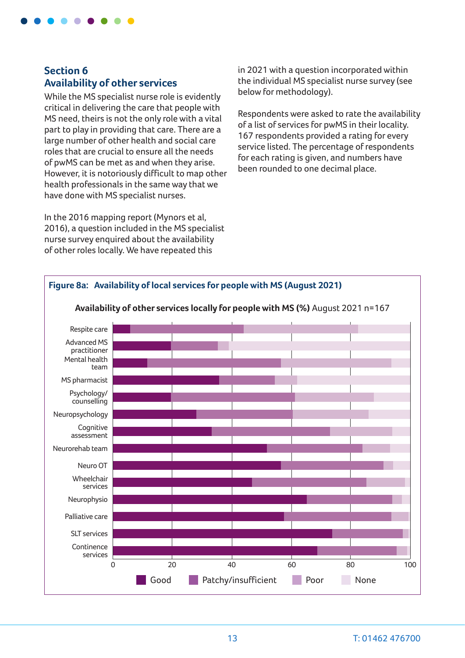

# **Section 6 Availability of other services**

While the MS specialist nurse role is evidently critical in delivering the care that people with MS need, theirs is not the only role with a vital part to play in providing that care. There are a large number of other health and social care roles that are crucial to ensure all the needs of pwMS can be met as and when they arise. However, it is notoriously difficult to map other health professionals in the same way that we have done with MS specialist nurses.

In the 2016 mapping report (Mynors et al, 2016), a question included in the MS specialist nurse survey enquired about the availability of other roles locally. We have repeated this

in 2021 with a question incorporated within the individual MS specialist nurse survey (see below for methodology).

Respondents were asked to rate the availability of a list of services for pwMS in their locality. 167 respondents provided a rating for every service listed. The percentage of respondents for each rating is given, and numbers have been rounded to one decimal place.

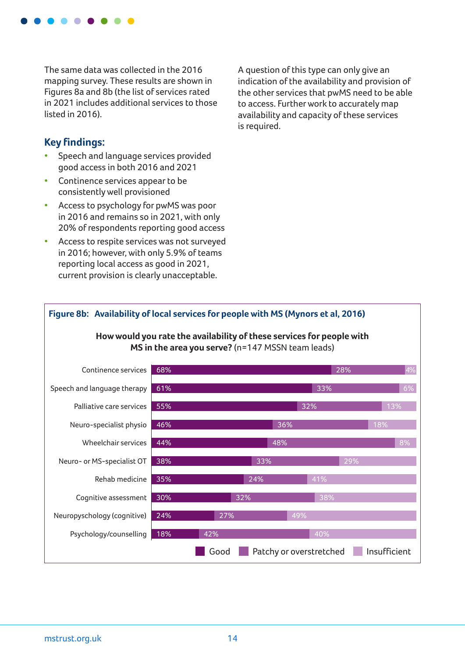

The same data was collected in the 2016 mapping survey. These results are shown in Figures 8a and 8b (the list of services rated in 2021 includes additional services to those listed in 2016).

### **Key findings:**

- Speech and language services provided good access in both 2016 and 2021
- Continence services appear to be consistently well provisioned
- Access to psychology for pwMS was poor in 2016 and remains so in 2021, with only 20% of respondents reporting good access
- Access to respite services was not surveyed in 2016; however, with only 5.9% of teams reporting local access as good in 2021, current provision is clearly unacceptable.

A question of this type can only give an indication of the availability and provision of the other services that pwMS need to be able to access. Further work to accurately map availability and capacity of these services is required.

#### **How would you rate the availability of these services for people with MS in the area you serve?** (n=147 MSSN team leads) Continence services Speech and language therapy Palliative care services Neuro-specialist physio Wheelchair services Neuro- or MS-specialist OT Rehab medicine Cognitive assessment 68% 28% 4% 61% 33% 6% 55% 32% 13% 46% 36% 18% 44% 48% 8% 38% 33% 29% 35% 24% 41% 30% 32% 38%

**Figure 8b: Availability of local services for people with MS (Mynors et al, 2016)**

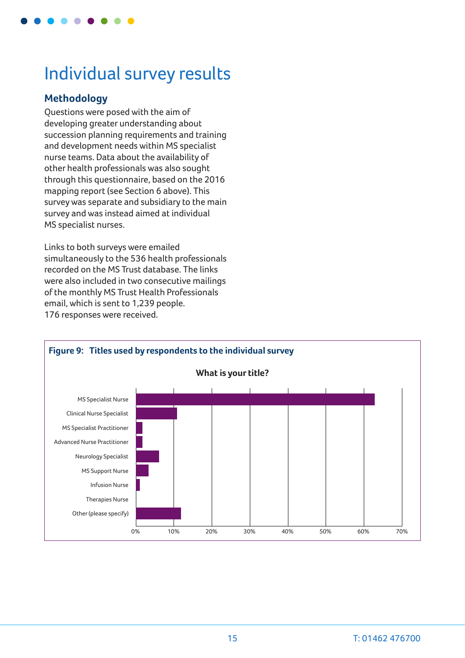

# Individual survey results

### **Methodology**

Questions were posed with the aim of developing greater understanding about succession planning requirements and training and development needs within MS specialist nurse teams. Data about the availability of other health professionals was also sought through this questionnaire, based on the 2016 mapping report (see Section 6 above). This survey was separate and subsidiary to the main survey and was instead aimed at individual MS specialist nurses.

Links to both surveys were emailed simultaneously to the 536 health professionals recorded on the MS Trust database. The links were also included in two consecutive mailings of the monthly MS Trust Health Professionals email, which is sent to 1,239 people. 176 responses were received.

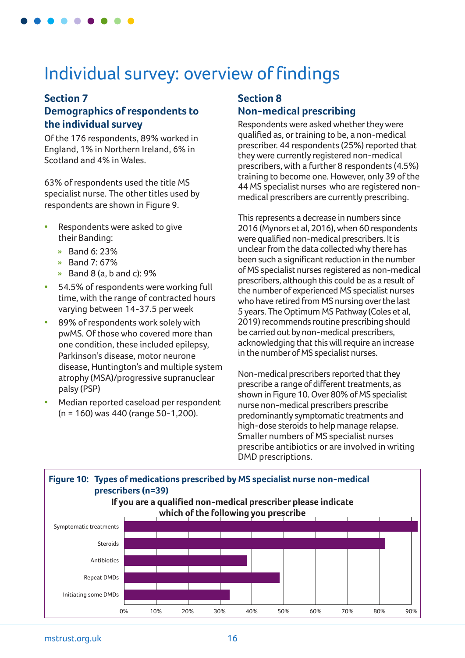# Individual survey: overview of findings

#### **Section 7**

# **Demographics of respondents to the individual survey**

Of the 176 respondents, 89% worked in England, 1% in Northern Ireland, 6% in Scotland and 4% in Wales.

63% of respondents used the title MS specialist nurse. The other titles used by respondents are shown in Figure 9.

- Respondents were asked to give their Banding:
	- » Band 6: 23%
	- » Band 7: 67%
	- » Band 8 (a, b and c): 9%
- 54.5% of respondents were working full time, with the range of contracted hours varying between 14-37.5 per week
- 89% of respondents work solely with pwMS. Of those who covered more than one condition, these included epilepsy, Parkinson's disease, motor neurone disease, Huntington's and multiple system atrophy (MSA)/progressive supranuclear palsy (PSP)
- Median reported caseload per respondent (n = 160) was 440 (range 50-1,200).

# **Section 8 Non-medical prescribing**

Respondents were asked whether they were qualified as, or training to be, a non-medical prescriber. 44 respondents (25%) reported that they were currently registered non-medical prescribers, with a further 8 respondents (4.5%) training to become one. However, only 39 of the 44 MS specialist nurses who are registered nonmedical prescribers are currently prescribing.

This represents a decrease in numbers since 2016 (Mynors et al, 2016), when 60 respondents were qualified non-medical prescribers. It is unclear from the data collected why there has been such a significant reduction in the number of MS specialist nurses registered as non-medical prescribers, although this could be as a result of the number of experienced MS specialist nurses who have retired from MS nursing over the last 5 years. The Optimum MS Pathway (Coles et al, 2019) recommends routine prescribing should be carried out by non-medical prescribers, acknowledging that this will require an increase in the number of MS specialist nurses.

Non-medical prescribers reported that they prescribe a range of different treatments, as shown in Figure 10. Over 80% of MS specialist nurse non-medical prescribers prescribe predominantly symptomatic treatments and high-dose steroids to help manage relapse. Smaller numbers of MS specialist nurses prescribe antibiotics or are involved in writing DMD prescriptions.

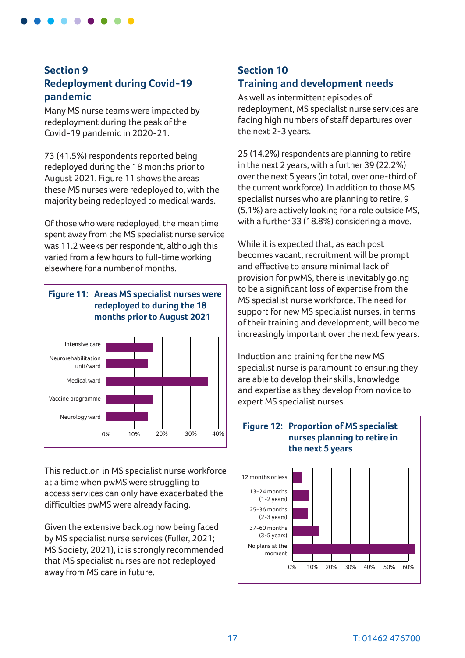

### **Section 9 Redeployment during Covid-19 pandemic**

Many MS nurse teams were impacted by redeployment during the peak of the Covid-19 pandemic in 2020-21.

73 (41.5%) respondents reported being redeployed during the 18 months prior to August 2021. Figure 11 shows the areas these MS nurses were redeployed to, with the majority being redeployed to medical wards.

Of those who were redeployed, the mean time spent away from the MS specialist nurse service was 11.2 weeks per respondent, although this varied from a few hours to full-time working elsewhere for a number of months.



This reduction in MS specialist nurse workforce at a time when pwMS were struggling to access services can only have exacerbated the difficulties pwMS were already facing.

Given the extensive backlog now being faced by MS specialist nurse services (Fuller, 2021; MS Society, 2021), it is strongly recommended that MS specialist nurses are not redeployed away from MS care in future.

# **Section 10 Training and development needs**

As well as intermittent episodes of redeployment, MS specialist nurse services are facing high numbers of staff departures over the next 2-3 years.

25 (14.2%) respondents are planning to retire in the next 2 years, with a further 39 (22.2%) over the next 5 years (in total, over one-third of the current workforce). In addition to those MS specialist nurses who are planning to retire, 9 (5.1%) are actively looking for a role outside MS, with a further 33 (18.8%) considering a move.

While it is expected that, as each post becomes vacant, recruitment will be prompt and effective to ensure minimal lack of provision for pwMS, there is inevitably going to be a significant loss of expertise from the MS specialist nurse workforce. The need for support for new MS specialist nurses, in terms of their training and development, will become increasingly important over the next few years.

Induction and training for the new MS specialist nurse is paramount to ensuring they are able to develop their skills, knowledge and expertise as they develop from novice to expert MS specialist nurses.

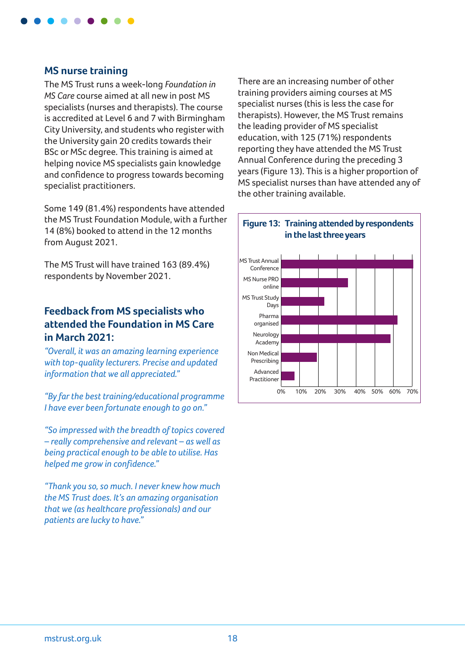

#### **MS nurse training**

The MS Trust runs a week-long *Foundation in MS Care* course aimed at all new in post MS specialists (nurses and therapists). The course is accredited at Level 6 and 7 with Birmingham City University, and students who register with the University gain 20 credits towards their BSc or MSc degree. This training is aimed at helping novice MS specialists gain knowledge and confidence to progress towards becoming specialist practitioners.

Some 149 (81.4%) respondents have attended the MS Trust Foundation Module, with a further 14 (8%) booked to attend in the 12 months from August 2021.

The MS Trust will have trained 163 (89.4%) respondents by November 2021.

#### **Feedback from MS specialists who attended the Foundation in MS Care in March 2021:**

*"Overall, it was an amazing learning experience with top-quality lecturers. Precise and updated information that we all appreciated."*

*"By far the best training/educational programme I have ever been fortunate enough to go on."*

*"So impressed with the breadth of topics covered – really comprehensive and relevant – as well as being practical enough to be able to utilise. Has helped me grow in confidence."*

*"Thank you so, so much. I never knew how much the MS Trust does. It's an amazing organisation that we (as healthcare professionals) and our patients are lucky to have."*

There are an increasing number of other training providers aiming courses at MS specialist nurses (this is less the case for therapists). However, the MS Trust remains the leading provider of MS specialist education, with 125 (71%) respondents reporting they have attended the MS Trust Annual Conference during the preceding 3 years (Figure 13). This is a higher proportion of MS specialist nurses than have attended any of the other training available.

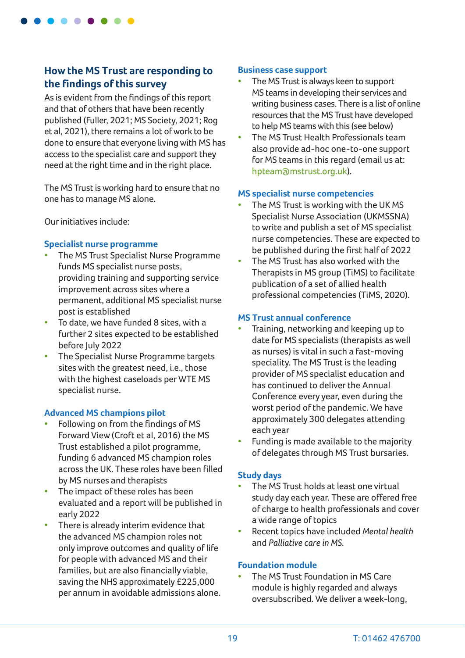

### **How the MS Trust are responding to the findings of this survey**

As is evident from the findings of this report and that of others that have been recently published (Fuller, 2021; MS Society, 2021; Rog et al, 2021), there remains a lot of work to be done to ensure that everyone living with MS has access to the specialist care and support they need at the right time and in the right place.

The MS Trust is working hard to ensure that no one has to manage MS alone.

Our initiatives include:

#### **Specialist nurse programme**

- The MS Trust Specialist Nurse Programme funds MS specialist nurse posts, providing training and supporting service improvement across sites where a permanent, additional MS specialist nurse post is established
- To date, we have funded 8 sites, with a further 2 sites expected to be established before July 2022
- The Specialist Nurse Programme targets sites with the greatest need, i.e., those with the highest caseloads per WTE MS specialist nurse.

#### **Advanced MS champions pilot**

- Following on from the findings of MS Forward View (Croft et al, 2016) the MS Trust established a pilot programme, funding 6 advanced MS champion roles across the UK. These roles have been filled by MS nurses and therapists
- The impact of these roles has been evaluated and a report will be published in early 2022
- There is already interim evidence that the advanced MS champion roles not only improve outcomes and quality of life for people with advanced MS and their families, but are also financially viable, saving the NHS approximately £225,000 per annum in avoidable admissions alone.

#### **Business case support**

- The MS Trust is always keen to support MS teams in developing their services and writing business cases. There is a list of online resources that the MS Trust have developed to help MS teams with this (see below)
- The MS Trust Health Professionals team also provide ad-hoc one-to-one support for MS teams in this regard (email us at: [hpteam@mstrust.org.uk](mailto:hpteam%40mstrust.org.uk?subject=)).

#### **MS specialist nurse competencies**

- The MS Trust is working with the UKMS Specialist Nurse Association (UKMSSNA) to write and publish a set of MS specialist nurse competencies. These are expected to be published during the first half of 2022
- The MS Trust has also worked with the Therapists in MS group (TiMS) to facilitate publication of a set of allied health professional competencies (TiMS, 2020).

#### **MS Trust annual conference**

- Training, networking and keeping up to date for MS specialists (therapists as well as nurses) is vital in such a fast-moving speciality. The MS Trust is the leading provider of MS specialist education and has continued to deliver the Annual Conference every year, even during the worst period of the pandemic. We have approximately 300 delegates attending each year
- Funding is made available to the majority of delegates through MS Trust bursaries.

#### **Study days**

- The MS Trust holds at least one virtual study day each year. These are offered free of charge to health professionals and cover a wide range of topics
- Recent topics have included *Mental health*  and *Palliative care in MS.*

#### **Foundation module**

The MS Trust Foundation in MS Care module is highly regarded and always oversubscribed. We deliver a week-long,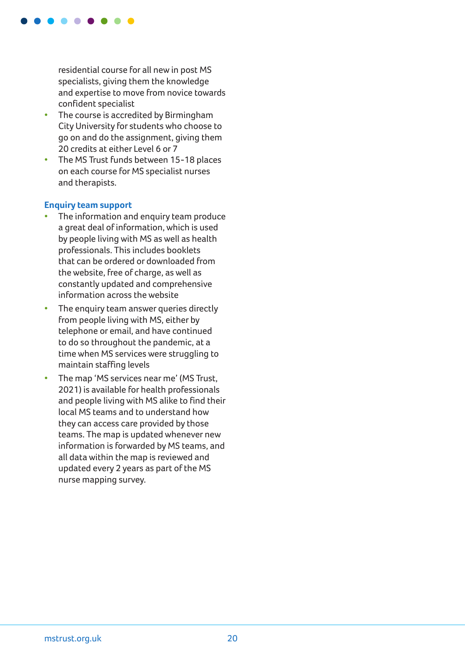

residential course for all new in post MS specialists, giving them the knowledge and expertise to move from novice towards confident specialist

- The course is accredited by Birmingham City University for students who choose to go on and do the assignment, giving them 20 credits at either Level 6 or 7
- The MS Trust funds between 15-18 places on each course for MS specialist nurses and therapists.

#### **Enquiry team support**

- The information and enquiry team produce a great deal of information, which is used by people living with MS as well as health professionals. This includes booklets that can be ordered or downloaded from the website, free of charge, as well as constantly updated and comprehensive information across the website
- The enquiry team answer queries directly from people living with MS, either by telephone or email, and have continued to do so throughout the pandemic, at a time when MS services were struggling to maintain staffing levels
- The map 'MS services near me' (MS Trust, 2021) is available for health professionals and people living with MS alike to find their local MS teams and to understand how they can access care provided by those teams. The map is updated whenever new information is forwarded by MS teams, and all data within the map is reviewed and updated every 2 years as part of the MS nurse mapping survey.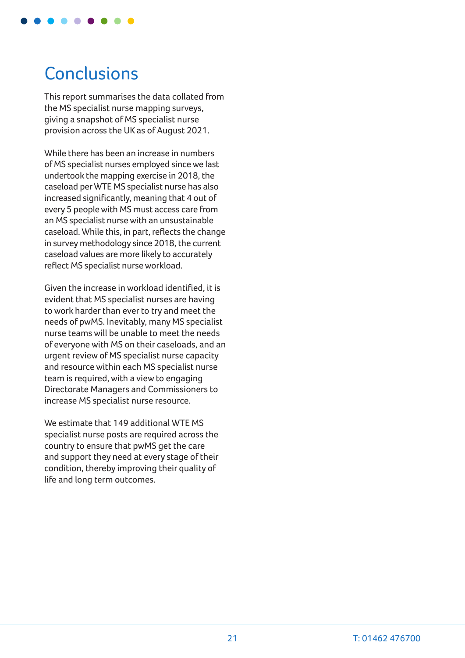

# **Conclusions**

This report summarises the data collated from the MS specialist nurse mapping surveys, giving a snapshot of MS specialist nurse provision across the UK as of August 2021.

While there has been an increase in numbers of MS specialist nurses employed since we last undertook the mapping exercise in 2018, the caseload per WTE MS specialist nurse has also increased significantly, meaning that 4 out of every 5 people with MS must access care from an MS specialist nurse with an unsustainable caseload. While this, in part, reflects the change in survey methodology since 2018, the current caseload values are more likely to accurately reflect MS specialist nurse workload.

Given the increase in workload identified, it is evident that MS specialist nurses are having to work harder than ever to try and meet the needs of pwMS. Inevitably, many MS specialist nurse teams will be unable to meet the needs of everyone with MS on their caseloads, and an urgent review of MS specialist nurse capacity and resource within each MS specialist nurse team is required, with a view to engaging Directorate Managers and Commissioners to increase MS specialist nurse resource.

We estimate that 149 additional WTE MS specialist nurse posts are required across the country to ensure that pwMS get the care and support they need at every stage of their condition, thereby improving their quality of life and long term outcomes.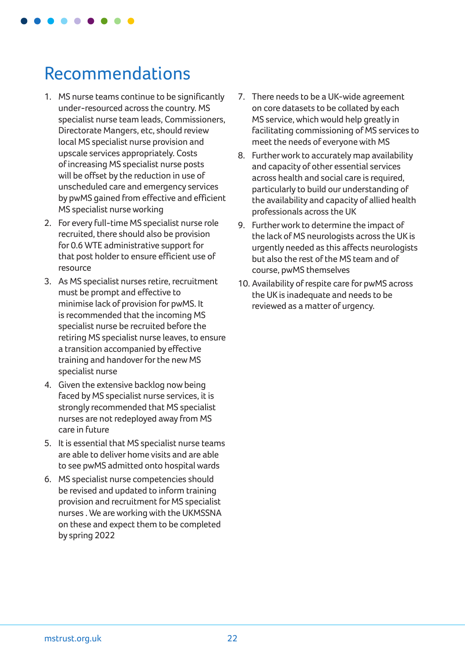

# Recommendations

- 1. MS nurse teams continue to be significantly under-resourced across the country. MS specialist nurse team leads, Commissioners, Directorate Mangers, etc, should review local MS specialist nurse provision and upscale services appropriately. Costs of increasing MS specialist nurse posts will be offset by the reduction in use of unscheduled care and emergency services by pwMS gained from effective and efficient MS specialist nurse working
- 2. For every full-time MS specialist nurse role recruited, there should also be provision for 0.6 WTE administrative support for that post holder to ensure efficient use of resource
- 3. As MS specialist nurses retire, recruitment must be prompt and effective to minimise lack of provision for pwMS. It is recommended that the incoming MS specialist nurse be recruited before the retiring MS specialist nurse leaves, to ensure a transition accompanied by effective training and handover for the new MS specialist nurse
- 4. Given the extensive backlog now being faced by MS specialist nurse services, it is strongly recommended that MS specialist nurses are not redeployed away from MS care in future
- 5. It is essential that MS specialist nurse teams are able to deliver home visits and are able to see pwMS admitted onto hospital wards
- 6. MS specialist nurse competencies should be revised and updated to inform training provision and recruitment for MS specialist nurses . We are working with the UKMSSNA on these and expect them to be completed by spring 2022
- 7. There needs to be a UK-wide agreement on core datasets to be collated by each MS service, which would help greatly in facilitating commissioning of MS services to meet the needs of everyone with MS
- 8. Further work to accurately map availability and capacity of other essential services across health and social care is required, particularly to build our understanding of the availability and capacity of allied health professionals across the UK
- 9. Further work to determine the impact of the lack of MS neurologists across the UK is urgently needed as this affects neurologists but also the rest of the MS team and of course, pwMS themselves
- 10. Availability of respite care for pwMS across the UK is inadequate and needs to be reviewed as a matter of urgency.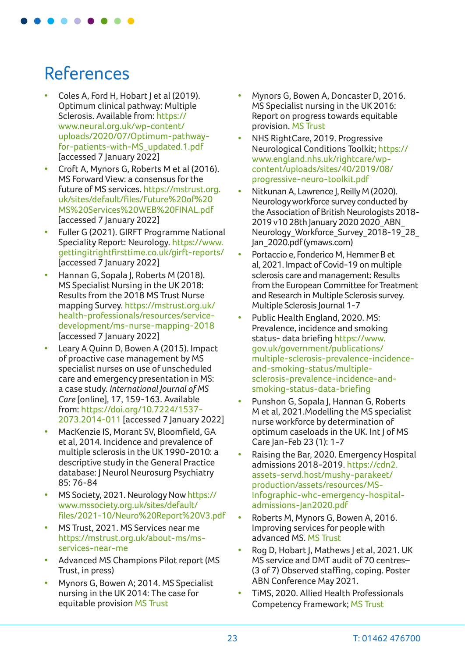# References

- Coles A, Ford H, Hobart J et al (2019). Optimum clinical pathway: Multiple Sclerosis. Available from: [https://](https://www.neural.org.uk/wp-content/uploads/2020/07/Optimum-pathway-for-patients-with-MS_updated.1.pdf) [www.neural.org.uk/wp-content/](https://www.neural.org.uk/wp-content/uploads/2020/07/Optimum-pathway-for-patients-with-MS_updated.1.pdf) [uploads/2020/07/Optimum-pathway](https://www.neural.org.uk/wp-content/uploads/2020/07/Optimum-pathway-for-patients-with-MS_updated.1.pdf)[for-patients-with-MS\\_updated.1.pdf](https://www.neural.org.uk/wp-content/uploads/2020/07/Optimum-pathway-for-patients-with-MS_updated.1.pdf) [accessed 7 January 2022]
- Croft A, Mynors G, Roberts M et al (2016). MS Forward View: a consensus for the future of MS services. [https://mstrust.org.](https://mstrust.org.uk/sites/default/files/Future%20of%20MS%20Services%20WEB%20FINAL.pdf) [uk/sites/default/files/Future%20of%20](https://mstrust.org.uk/sites/default/files/Future%20of%20MS%20Services%20WEB%20FINAL.pdf) [MS%20Services%20WEB%20FINAL.pdf](https://mstrust.org.uk/sites/default/files/Future%20of%20MS%20Services%20WEB%20FINAL.pdf) [accessed 7 January 2022]
- Fuller G (2021). GIRFT Programme National Speciality Report: Neurology. [https://www.](https://www.gettingitrightfirsttime.co.uk/girft-reports/) [gettingitrightfirsttime.co.uk/girft-reports/](https://www.gettingitrightfirsttime.co.uk/girft-reports/) [accessed 7 January 2022]
- Hannan G, Sopala J, Roberts M (2018). MS Specialist Nursing in the UK 2018: Results from the 2018 MS Trust Nurse mapping Survey. [https://mstrust.org.uk/](https://mstrust.org.uk/health-professionals/resources/service-development/ms-nurse-mapping-2018) [health-professionals/resources/service](https://mstrust.org.uk/health-professionals/resources/service-development/ms-nurse-mapping-2018)[development/ms-nurse-mapping-2018](https://mstrust.org.uk/health-professionals/resources/service-development/ms-nurse-mapping-2018) [accessed 7 January 2022]
- Leary A Quinn D, Bowen A (2015). Impact of proactive case management by MS specialist nurses on use of unscheduled care and emergency presentation in MS: a case study. *International Journal of MS Care* [online], 17, 159-163. Available from: [https://doi.org/10.7224/1537-](https://doi.org/10.7224/1537-2073.2014-011) [2073.2014-011](https://doi.org/10.7224/1537-2073.2014-011) [accessed 7 January 2022]
- MacKenzie IS, Morant SV, Bloomfield, GA et al, 2014. Incidence and prevalence of multiple sclerosis in the UK 1990-2010: a descriptive study in the General Practice database: J Neurol Neurosurg Psychiatry 85: 76-84
- MS Society, 2021. Neurology Now [https://](https://www.mssociety.org.uk/sites/default/files/2021-10/Neuro%20Report%20V3.pdf) [www.mssociety.org.uk/sites/default/](https://www.mssociety.org.uk/sites/default/files/2021-10/Neuro%20Report%20V3.pdf) [files/2021-10/Neuro%20Report%20V3.pdf](https://www.mssociety.org.uk/sites/default/files/2021-10/Neuro%20Report%20V3.pdf)
- MS Trust, 2021. MS Services near me [https://mstrust.org.uk/about-ms/ms](https://mstrust.org.uk/about-ms/ms-services-near-me)[services-near-me](https://mstrust.org.uk/about-ms/ms-services-near-me)
- Advanced MS Champions Pilot report (MS Trust, in press)
- Mynors G, Bowen A; 2014. MS Specialist nursing in the UK 2014: The case for equitable provision [MS Trust](https://mstrust.org.uk/sites/default/files/CfEP%202014.pdf)
- Mynors G, Bowen A, Doncaster D, 2016. MS Specialist nursing in the UK 2016: Report on progress towards equitable provision. [MS Trust](https://mstrust.org.uk/sites/default/files/CfEP%202016.pdf)
- NHS RightCare, 2019. Progressive Neurological Conditions Toolkit; [https://](https://www.england.nhs.uk/rightcare/wp-content/uploads/sites/40/2019/08/progressive-neuro-toolkit.pdf) [www.england.nhs.uk/rightcare/wp](https://www.england.nhs.uk/rightcare/wp-content/uploads/sites/40/2019/08/progressive-neuro-toolkit.pdf)[content/uploads/sites/40/2019/08/](https://www.england.nhs.uk/rightcare/wp-content/uploads/sites/40/2019/08/progressive-neuro-toolkit.pdf) [progressive-neuro-toolkit.pdf](https://www.england.nhs.uk/rightcare/wp-content/uploads/sites/40/2019/08/progressive-neuro-toolkit.pdf)
- Nitkunan A, Lawrence J, Reilly M (2020). Neurology workforce survey conducted by the Association of British Neurologists 2018- 2019 v10 28th January 2020 [2020\\_ABN\\_](https://cdn.ymaws.com/www.theabn.org/resource/collection/219B4A48-4D25-4726-97AA-0EB6090769BE/2020_ABN_Neurology_Workforce_Survey_2018-19_28_Jan_2020.pdf) [Neurology\\_Workforce\\_Survey\\_2018-19\\_28\\_](https://cdn.ymaws.com/www.theabn.org/resource/collection/219B4A48-4D25-4726-97AA-0EB6090769BE/2020_ABN_Neurology_Workforce_Survey_2018-19_28_Jan_2020.pdf) [Jan\\_2020.pdf \(ymaws.com\)](https://cdn.ymaws.com/www.theabn.org/resource/collection/219B4A48-4D25-4726-97AA-0EB6090769BE/2020_ABN_Neurology_Workforce_Survey_2018-19_28_Jan_2020.pdf)
- Portaccio e, Fonderico M, Hemmer B et al, 2021. Impact of Covid-19 on multiple sclerosis care and management: Results from the European Committee for Treatment and Research in Multiple Sclerosis survey. Multiple Sclerosis Journal 1-7
- Public Health England, 2020. MS: Prevalence, incidence and smoking status- data briefing [https://www.](https://www.gov.uk/government/publications/multiple-sclerosis-prevalence-incidence-and-smoking-status/multiple-sclerosis-prevalence-incidence-and-smoking-status-data-briefing) [gov.uk/government/publications/](https://www.gov.uk/government/publications/multiple-sclerosis-prevalence-incidence-and-smoking-status/multiple-sclerosis-prevalence-incidence-and-smoking-status-data-briefing) [multiple-sclerosis-prevalence-incidence](https://www.gov.uk/government/publications/multiple-sclerosis-prevalence-incidence-and-smoking-status/multiple-sclerosis-prevalence-incidence-and-smoking-status-data-briefing)[and-smoking-status/multiple](https://www.gov.uk/government/publications/multiple-sclerosis-prevalence-incidence-and-smoking-status/multiple-sclerosis-prevalence-incidence-and-smoking-status-data-briefing)[sclerosis-prevalence-incidence-and](https://www.gov.uk/government/publications/multiple-sclerosis-prevalence-incidence-and-smoking-status/multiple-sclerosis-prevalence-incidence-and-smoking-status-data-briefing)[smoking-status-data-briefing](https://www.gov.uk/government/publications/multiple-sclerosis-prevalence-incidence-and-smoking-status/multiple-sclerosis-prevalence-incidence-and-smoking-status-data-briefing)
- Punshon G, Sopala J, Hannan G, Roberts M et al, 2021.Modelling the MS specialist nurse workforce by determination of optimum caseloads in the UK. Int J of MS Care Jan-Feb 23 (1): 1-7
- Raising the Bar, 2020. Emergency Hospital admissions 2018-2019. [https://cdn2.](https://cdn2.assets-servd.host/mushy-parakeet/production/assets/resources/MS-Infographic-whc-emergency-hospital-admissions-Jan2020.pdf) [assets-servd.host/mushy-parakeet/](https://cdn2.assets-servd.host/mushy-parakeet/production/assets/resources/MS-Infographic-whc-emergency-hospital-admissions-Jan2020.pdf) [production/assets/resources/MS-](https://cdn2.assets-servd.host/mushy-parakeet/production/assets/resources/MS-Infographic-whc-emergency-hospital-admissions-Jan2020.pdf)[Infographic-whc-emergency-hospital](https://cdn2.assets-servd.host/mushy-parakeet/production/assets/resources/MS-Infographic-whc-emergency-hospital-admissions-Jan2020.pdf)[admissions-Jan2020.pdf](https://cdn2.assets-servd.host/mushy-parakeet/production/assets/resources/MS-Infographic-whc-emergency-hospital-admissions-Jan2020.pdf)
- Roberts M, Mynors G, Bowen A, 2016. Improving services for people with advanced MS. [MS Trust](https://shop.mstrust.org.uk/publications/improving-services-for-people-with-advanced-ms/)
- Rog D, Hobart J, Mathews J et al, 2021. UK MS service and DMT audit of 70 centres– (3 of 7) Observed staffing, coping. Poster ABN Conference May 2021.
- TiMS, 2020. Allied Health Professionals Competency Framework; [MS Trust](https://mstrust.org.uk/health-professionals/resources/professional-development/competencies-health-professionals)